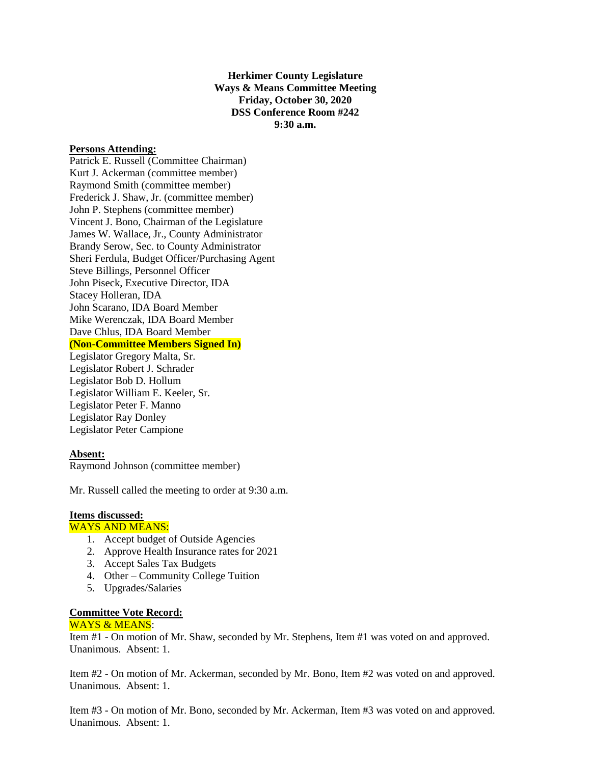**Herkimer County Legislature Ways & Means Committee Meeting Friday, October 30, 2020 DSS Conference Room #242 9:30 a.m.**

### **Persons Attending:**

Patrick E. Russell (Committee Chairman) Kurt J. Ackerman (committee member) Raymond Smith (committee member) Frederick J. Shaw, Jr. (committee member) John P. Stephens (committee member) Vincent J. Bono, Chairman of the Legislature James W. Wallace, Jr., County Administrator Brandy Serow, Sec. to County Administrator Sheri Ferdula, Budget Officer/Purchasing Agent Steve Billings, Personnel Officer John Piseck, Executive Director, IDA Stacey Holleran, IDA John Scarano, IDA Board Member Mike Werenczak, IDA Board Member Dave Chlus, IDA Board Member **(Non-Committee Members Signed In)** Legislator Gregory Malta, Sr. Legislator Robert J. Schrader Legislator Bob D. Hollum Legislator William E. Keeler, Sr. Legislator Peter F. Manno Legislator Ray Donley Legislator Peter Campione

### **Absent:**

Raymond Johnson (committee member)

Mr. Russell called the meeting to order at 9:30 a.m.

# **Items discussed:**

# WAYS AND MEANS:

- 1. Accept budget of Outside Agencies
- 2. Approve Health Insurance rates for 2021
- 3. Accept Sales Tax Budgets
- 4. Other Community College Tuition
- 5. Upgrades/Salaries

#### **Committee Vote Record:**

#### WAYS & MEANS:

Item #1 - On motion of Mr. Shaw, seconded by Mr. Stephens, Item #1 was voted on and approved. Unanimous. Absent: 1.

Item #2 - On motion of Mr. Ackerman, seconded by Mr. Bono, Item #2 was voted on and approved. Unanimous. Absent: 1.

Item #3 - On motion of Mr. Bono, seconded by Mr. Ackerman, Item #3 was voted on and approved. Unanimous. Absent: 1.